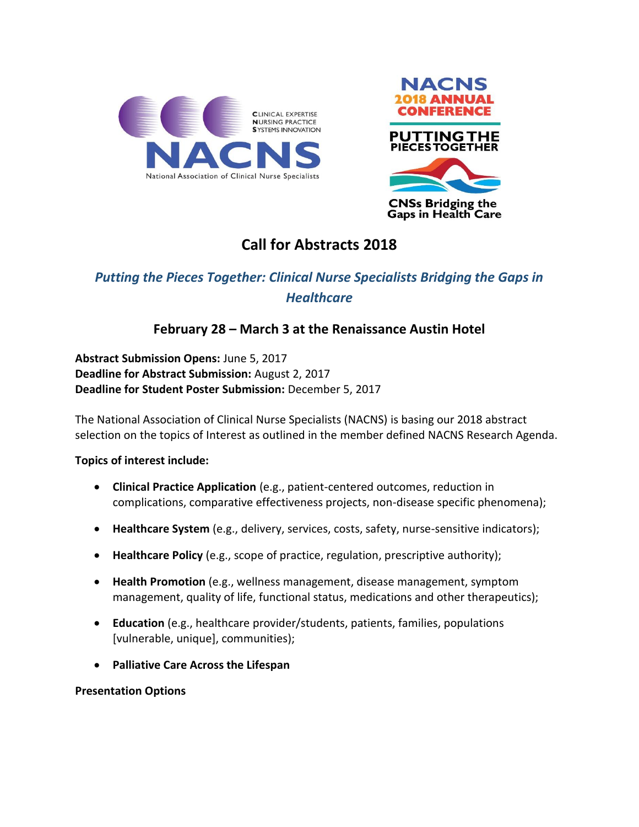



# **Call for Abstracts 2018**

# *Putting the Pieces Together: Clinical Nurse Specialists Bridging the Gaps in Healthcare*

# **February 28 – March 3 at the Renaissance Austin Hotel**

**Abstract Submission Opens:** June 5, 2017 **Deadline for Abstract Submission:** August 2, 2017 **Deadline for Student Poster Submission:** December 5, 2017

The National Association of Clinical Nurse Specialists (NACNS) is basing our 2018 abstract selection on the topics of Interest as outlined in the member defined NACNS Research Agenda.

# **Topics of interest include:**

- **Clinical Practice Application** (e.g., patient-centered outcomes, reduction in complications, comparative effectiveness projects, non-disease specific phenomena);
- **Healthcare System** (e.g., delivery, services, costs, safety, nurse-sensitive indicators);
- **Healthcare Policy** (e.g., scope of practice, regulation, prescriptive authority);
- **Health Promotion** (e.g., wellness management, disease management, symptom management, quality of life, functional status, medications and other therapeutics);
- **Education** (e.g., healthcare provider/students, patients, families, populations [vulnerable, unique], communities);
- **Palliative Care Across the Lifespan**

# **Presentation Options**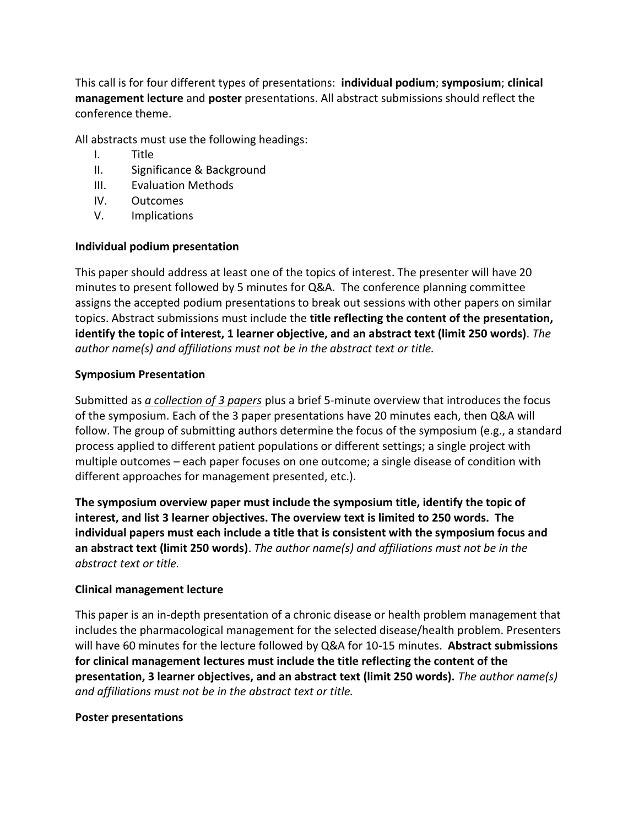This call is for four different types of presentations: **individual podium**; **symposium**; **clinical management lecture** and **poster** presentations. All abstract submissions should reflect the conference theme.

All abstracts must use the following headings:

- I. Title
- II. Significance & Background
- III. Evaluation Methods
- IV. Outcomes
- V. Implications

# **Individual podium presentation**

This paper should address at least one of the topics of interest. The presenter will have 20 minutes to present followed by 5 minutes for Q&A. The conference planning committee assigns the accepted podium presentations to break out sessions with other papers on similar topics. Abstract submissions must include the **title reflecting the content of the presentation, identify the topic of interest, 1 learner objective, and an abstract text (limit 250 words)**. *The author name(s) and affiliations must not be in the abstract text or title.* 

#### **Symposium Presentation**

Submitted as *a collection of 3 papers* plus a brief 5-minute overview that introduces the focus of the symposium. Each of the 3 paper presentations have 20 minutes each, then Q&A will follow. The group of submitting authors determine the focus of the symposium (e.g., a standard process applied to different patient populations or different settings; a single project with multiple outcomes – each paper focuses on one outcome; a single disease of condition with different approaches for management presented, etc.).

**The symposium overview paper must include the symposium title, identify the topic of interest, and list 3 learner objectives. The overview text is limited to 250 words. The individual papers must each include a title that is consistent with the symposium focus and an abstract text (limit 250 words)**. *The author name(s) and affiliations must not be in the abstract text or title.* 

# **Clinical management lecture**

This paper is an in-depth presentation of a chronic disease or health problem management that includes the pharmacological management for the selected disease/health problem. Presenters will have 60 minutes for the lecture followed by Q&A for 10-15 minutes. **Abstract submissions for clinical management lectures must include the title reflecting the content of the presentation, 3 learner objectives, and an abstract text (limit 250 words).** *The author name(s) and affiliations must not be in the abstract text or title.* 

# **Poster presentations**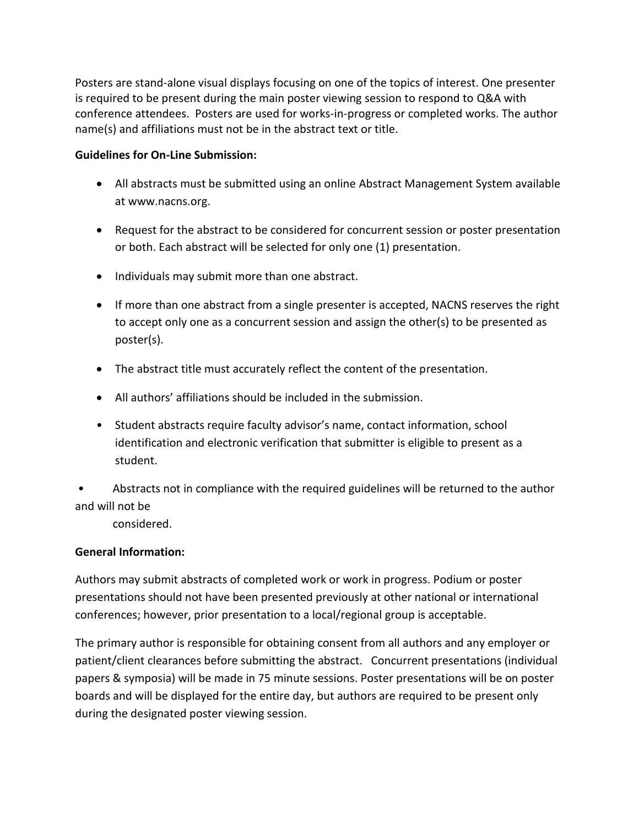Posters are stand-alone visual displays focusing on one of the topics of interest. One presenter is required to be present during the main poster viewing session to respond to Q&A with conference attendees. Posters are used for works-in-progress or completed works. The author name(s) and affiliations must not be in the abstract text or title.

# **Guidelines for On-Line Submission:**

- All abstracts must be submitted using an online Abstract Management System available at www.nacns.org.
- Request for the abstract to be considered for concurrent session or poster presentation or both. Each abstract will be selected for only one (1) presentation.
- Individuals may submit more than one abstract.
- If more than one abstract from a single presenter is accepted, NACNS reserves the right to accept only one as a concurrent session and assign the other(s) to be presented as poster(s).
- The abstract title must accurately reflect the content of the presentation.
- All authors' affiliations should be included in the submission.
- Student abstracts require faculty advisor's name, contact information, school identification and electronic verification that submitter is eligible to present as a student.

• Abstracts not in compliance with the required guidelines will be returned to the author and will not be

considered.

# **General Information:**

Authors may submit abstracts of completed work or work in progress. Podium or poster presentations should not have been presented previously at other national or international conferences; however, prior presentation to a local/regional group is acceptable.

The primary author is responsible for obtaining consent from all authors and any employer or patient/client clearances before submitting the abstract. Concurrent presentations (individual papers & symposia) will be made in 75 minute sessions. Poster presentations will be on poster boards and will be displayed for the entire day, but authors are required to be present only during the designated poster viewing session.